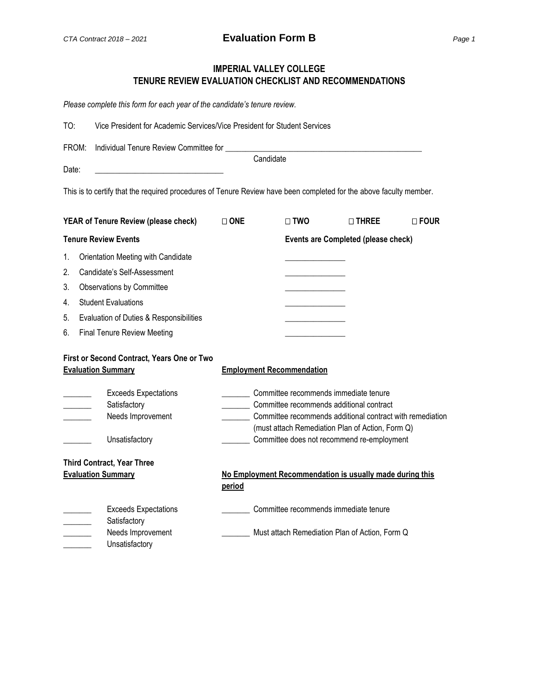## *CTA Contract 2018 – <sup>2021</sup>* **Evaluation Form B** *Page 1*

## **IMPERIAL VALLEY COLLEGE TENURE REVIEW EVALUATION CHECKLIST AND RECOMMENDATIONS**

*Please complete this form for each year of the candidate's tenure review.*

| TO: | Vice President for Academic Services/Vice President for Student Services |  |  |  |  |
|-----|--------------------------------------------------------------------------|--|--|--|--|
|-----|--------------------------------------------------------------------------|--|--|--|--|

FROM: Individual Tenure Review Committee for \_\_\_\_

Date: \_\_\_\_\_\_\_\_\_\_\_\_\_\_\_\_\_\_\_\_\_\_\_\_\_\_\_\_\_\_\_\_

Candidate

This is to certify that the required procedures of Tenure Review have been completed for the above faculty member.

| <b>YEAR of Tenure Review (please check)</b>                             |                                                                                    | $\square$ ONE                    | $\square$ TWO                       | $\sqcap$ THREE                                                                                                                                                                                                                                   | $\square$ FOUR |
|-------------------------------------------------------------------------|------------------------------------------------------------------------------------|----------------------------------|-------------------------------------|--------------------------------------------------------------------------------------------------------------------------------------------------------------------------------------------------------------------------------------------------|----------------|
| <b>Tenure Review Events</b>                                             |                                                                                    |                                  | Events are Completed (please check) |                                                                                                                                                                                                                                                  |                |
| 1.                                                                      | Orientation Meeting with Candidate                                                 |                                  |                                     |                                                                                                                                                                                                                                                  |                |
| 2.                                                                      | Candidate's Self-Assessment                                                        |                                  |                                     |                                                                                                                                                                                                                                                  |                |
| 3.                                                                      | Observations by Committee                                                          |                                  |                                     |                                                                                                                                                                                                                                                  |                |
| 4.                                                                      | <b>Student Evaluations</b>                                                         |                                  |                                     |                                                                                                                                                                                                                                                  |                |
| 5.                                                                      | Evaluation of Duties & Responsibilities                                            |                                  |                                     |                                                                                                                                                                                                                                                  |                |
| 6.                                                                      | <b>Final Tenure Review Meeting</b>                                                 |                                  |                                     |                                                                                                                                                                                                                                                  |                |
| First or Second Contract, Years One or Two<br><b>Evaluation Summary</b> |                                                                                    | <b>Employment Recommendation</b> |                                     |                                                                                                                                                                                                                                                  |                |
|                                                                         | <b>Exceeds Expectations</b><br>Satisfactory<br>Needs Improvement<br>Unsatisfactory |                                  |                                     | Committee recommends immediate tenure<br>Committee recommends additional contract<br>Committee recommends additional contract with remediation<br>(must attach Remediation Plan of Action, Form Q)<br>Committee does not recommend re-employment |                |
| <b>Third Contract, Year Three</b><br><b>Evaluation Summary</b>          |                                                                                    | period                           |                                     | No Employment Recommendation is usually made during this                                                                                                                                                                                         |                |
|                                                                         | <b>Exceeds Expectations</b><br>Satisfactory                                        |                                  |                                     | Committee recommends immediate tenure                                                                                                                                                                                                            |                |
|                                                                         | Needs Improvement<br>Unsatisfactory                                                |                                  |                                     | Must attach Remediation Plan of Action, Form Q                                                                                                                                                                                                   |                |